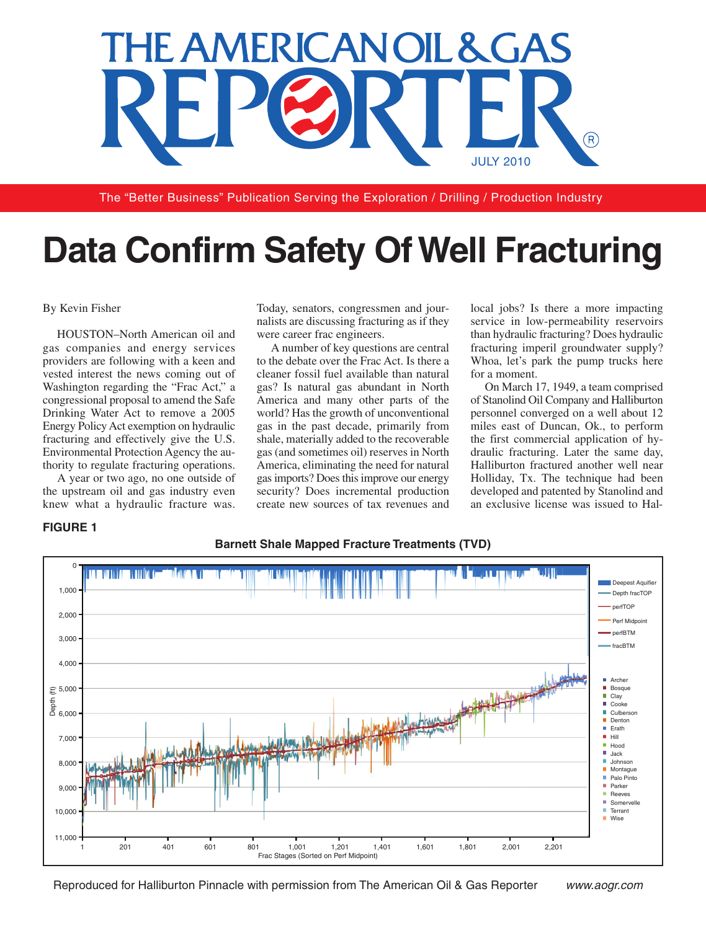

The "Better Business" Publication Serving the Exploration / Drilling / Production Industry

# **Data Confirm Safety OfWell Fracturing**

Today, senators, congressmen and jour-

#### By Kevin Fisher

HOUSTON–North American oil and gas companies and energy services providers are following with a keen and vested interest the news coming out of Washington regarding the "Frac Act," a congressional proposal to amend the Safe Drinking Water Act to remove a 2005 Energy PolicyAct exemption on hydraulic fracturing and effectively give the U.S. Environmental Protection Agency the authority to regulate fracturing operations.

A year or two ago, no one outside of the upstream oil and gas industry even knew what a hydraulic fracture was.

nalists are discussing fracturing as if they were career frac engineers. A number of key questions are central

to the debate over the Frac Act. Is there a cleaner fossil fuel available than natural gas? Is natural gas abundant in North America and many other parts of the world? Has the growth of unconventional gas in the past decade, primarily from shale, materially added to the recoverable gas (and sometimes oil) reserves in North America, eliminating the need for natural gasimports? Doesthisimprove our energy security? Does incremental production create new sources of tax revenues and local jobs? Is there a more impacting service in low-permeability reservoirs than hydraulic fracturing? Does hydraulic fracturing imperil groundwater supply? Whoa, let's park the pump trucks here for a moment.

On March 17, 1949, a team comprised of Stanolind Oil Company and Halliburton personnel converged on a well about 12 miles east of Duncan, Ok., to perform the first commercial application of hydraulic fracturing. Later the same day, Halliburton fractured another well near Holliday, Tx. The technique had been developed and patented by Stanolind and an exclusive license was issued to Hal-

# **FIGURE 1**



#### **Barnett Shale Mapped Fracture Treatments (TVD)**

Reproduced for Halliburton Pinnacle with permission from The American Oil & Gas Reporter *www.aogr.com*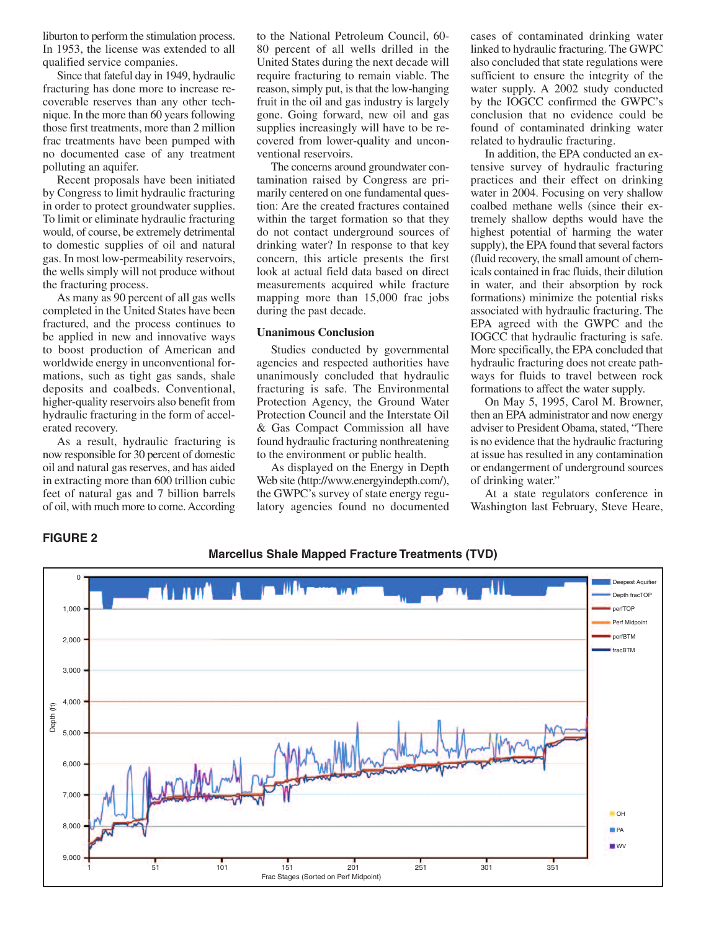liburton to perform the stimulation process. In 1953, the license was extended to all qualified service companies.

Since that fateful day in 1949, hydraulic fracturing has done more to increase recoverable reserves than any other technique. In the more than 60 years following those first treatments, more than 2 million frac treatments have been pumped with no documented case of any treatment polluting an aquifer.

Recent proposals have been initiated by Congress to limit hydraulic fracturing in order to protect groundwater supplies. To limit or eliminate hydraulic fracturing would, of course, be extremely detrimental to domestic supplies of oil and natural gas. In most low-permeability reservoirs, the wells simply will not produce without the fracturing process.

As many as 90 percent of all gas wells completed in the United States have been fractured, and the process continues to be applied in new and innovative ways to boost production of American and worldwide energy in unconventional formations, such as tight gas sands, shale deposits and coalbeds. Conventional, higher-quality reservoirs also benefit from hydraulic fracturing in the form of accelerated recovery.

As a result, hydraulic fracturing is now responsible for 30 percent of domestic oil and natural gas reserves, and has aided in extracting more than 600 trillion cubic feet of natural gas and 7 billion barrels of oil, with much more to come.According

to the National Petroleum Council, 60- 80 percent of all wells drilled in the United States during the next decade will require fracturing to remain viable. The reason, simply put, is that the low-hanging fruit in the oil and gas industry is largely gone. Going forward, new oil and gas supplies increasingly will have to be recovered from lower-quality and unconventional reservoirs.

The concerns around groundwater contamination raised by Congress are primarily centered on one fundamental question: Are the created fractures contained within the target formation so that they do not contact underground sources of drinking water? In response to that key concern, this article presents the first look at actual field data based on direct measurements acquired while fracture mapping more than 15,000 frac jobs during the past decade.

### **Unanimous Conclusion**

Studies conducted by governmental agencies and respected authorities have unanimously concluded that hydraulic fracturing is safe. The Environmental Protection Agency, the Ground Water Protection Council and the Interstate Oil & Gas Compact Commission all have found hydraulic fracturing nonthreatening to the environment or public health.

As displayed on the Energy in Depth Web site (http://www.energyindepth.com/), the GWPC's survey of state energy regulatory agencies found no documented cases of contaminated drinking water linked to hydraulic fracturing. The GWPC also concluded that state regulations were sufficient to ensure the integrity of the water supply. A 2002 study conducted by the IOGCC confirmed the GWPC's conclusion that no evidence could be found of contaminated drinking water related to hydraulic fracturing.

In addition, the EPA conducted an extensive survey of hydraulic fracturing practices and their effect on drinking water in 2004. Focusing on very shallow coalbed methane wells (since their extremely shallow depths would have the highest potential of harming the water supply), the EPA found that several factors (fluid recovery, the small amount of chemicals contained in frac fluids, their dilution in water, and their absorption by rock formations) minimize the potential risks associated with hydraulic fracturing. The EPA agreed with the GWPC and the IOGCC that hydraulic fracturing is safe. More specifically, the EPA concluded that hydraulic fracturing does not create pathways for fluids to travel between rock formations to affect the water supply.

On May 5, 1995, Carol M. Browner, then an EPA administrator and now energy adviser to President Obama, stated, "There is no evidence that the hydraulic fracturing at issue has resulted in any contamination or endangerment of underground sources of drinking water."

At a state regulators conference in Washington last February, Steve Heare,

## **FIGURE 2**

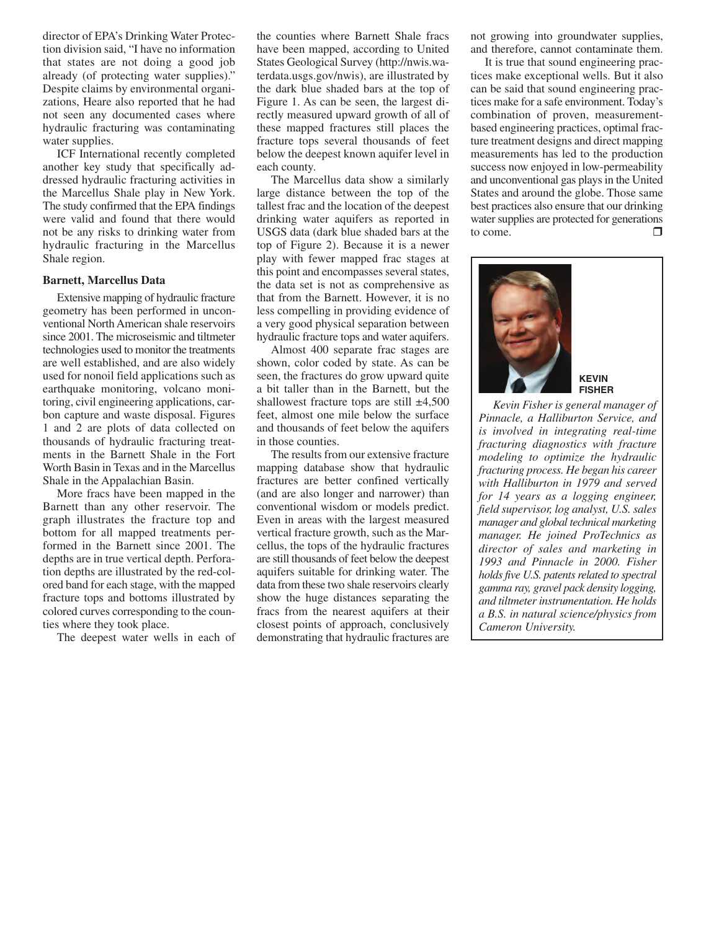director of EPA's Drinking Water Protection division said, "I have no information that states are not doing a good job already (of protecting water supplies)." Despite claims by environmental organizations, Heare also reported that he had not seen any documented cases where hydraulic fracturing was contaminating water supplies.

ICF International recently completed another key study that specifically addressed hydraulic fracturing activities in the Marcellus Shale play in New York. The study confirmed that the EPA findings were valid and found that there would not be any risks to drinking water from hydraulic fracturing in the Marcellus Shale region.

### **Barnett, Marcellus Data**

Extensive mapping of hydraulic fracture geometry has been performed in unconventional NorthAmerican shale reservoirs since 2001. The microseismic and tiltmeter technologies used to monitor the treatments are well established, and are also widely used for nonoil field applications such as earthquake monitoring, volcano monitoring, civil engineering applications, carbon capture and waste disposal. Figures 1 and 2 are plots of data collected on thousands of hydraulic fracturing treatments in the Barnett Shale in the Fort Worth Basin in Texas and in the Marcellus Shale in the Appalachian Basin.

More fracs have been mapped in the Barnett than any other reservoir. The graph illustrates the fracture top and bottom for all mapped treatments performed in the Barnett since 2001. The depths are in true vertical depth. Perforation depths are illustrated by the red-colored band for each stage, with the mapped fracture tops and bottoms illustrated by colored curves corresponding to the counties where they took place.

The deepest water wells in each of

the counties where Barnett Shale fracs have been mapped, according to United States Geological Survey (http://nwis.waterdata.usgs.gov/nwis), are illustrated by the dark blue shaded bars at the top of Figure 1. As can be seen, the largest directly measured upward growth of all of these mapped fractures still places the fracture tops several thousands of feet below the deepest known aquifer level in each county.

The Marcellus data show a similarly large distance between the top of the tallest frac and the location of the deepest drinking water aquifers as reported in USGS data (dark blue shaded bars at the top of Figure 2). Because it is a newer play with fewer mapped frac stages at this point and encompasses several states, the data set is not as comprehensive as that from the Barnett. However, it is no less compelling in providing evidence of a very good physical separation between hydraulic fracture tops and water aquifers.

Almost 400 separate frac stages are shown, color coded by state. As can be seen, the fractures do grow upward quite a bit taller than in the Barnett, but the shallowest fracture tops are still  $\pm 4,500$ feet, almost one mile below the surface and thousands of feet below the aquifers in those counties.

The results from our extensive fracture mapping database show that hydraulic fractures are better confined vertically (and are also longer and narrower) than conventional wisdom or models predict. Even in areas with the largest measured vertical fracture growth, such as the Marcellus, the tops of the hydraulic fractures are still thousands of feet below the deepest aquifers suitable for drinking water. The data from these two shale reservoirs clearly show the huge distances separating the fracs from the nearest aquifers at their closest points of approach, conclusively demonstrating that hydraulic fractures are

not growing into groundwater supplies, and therefore, cannot contaminate them.

It is true that sound engineering practices make exceptional wells. But it also can be said that sound engineering practices make for a safe environment. Today's combination of proven, measurementbased engineering practices, optimal fracture treatment designs and direct mapping measurements has led to the production success now enjoyed in low-permeability and unconventional gas plays in the United States and around the globe. Those same best practices also ensure that our drinking water supplies are protected for generations to come.  $\Box$ 



#### **KEVIN FISHER**

*Kevin Fisher is general manager of Pinnacle, a Halliburton Service, and is involved in integrating real-time fracturing diagnostics with fracture modeling to optimize the hydraulic fracturing process. He began his career with Halliburton in 1979 and served for 14 years as a logging engineer, field supervisor, log analyst, U.S. sales manager and global technical marketing manager. He joined ProTechnics as director of sales and marketing in 1993 and Pinnacle in 2000. Fisher holds five U.S. patents related to spectral gamma ray, gravel pack density logging, and tiltmeterinstrumentation. He holds a B.S. in natural science/physics from Cameron University.*